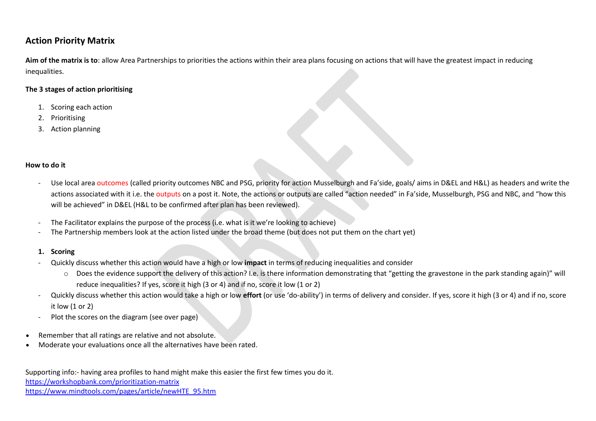# **Action Priority Matrix**

**Aim of the matrix is to**: allow Area Partnerships to priorities the actions within their area plans focusing on actions that will have the greatest impact in reducing inequalities.

## **The 3 stages of action prioritising**

- 1. Scoring each action
- 2. Prioritising
- 3. Action planning

### **How to do it**

- Use local area outcomes (called priority outcomes NBC and PSG, priority for action Musselburgh and Fa'side, goals/ aims in D&EL and H&L) as headers and write the actions associated with it i.e. the outputs on a post it. Note, the actions or outputs are called "action needed" in Fa'side, Musselburgh, PSG and NBC, and "how this will be achieved" in D&EL (H&L to be confirmed after plan has been reviewed).
- The Facilitator explains the purpose of the process (i.e. what is it we're looking to achieve)
- The Partnership members look at the action listed under the broad theme (but does not put them on the chart yet)

## **1. Scoring**

- Quickly discuss whether this action would have a high or low **impact** in terms of reducing inequalities and consider
	- o Does the evidence support the delivery of this action? I.e. is there information demonstrating that "getting the gravestone in the park standing again)" will reduce inequalities? If yes, score it high (3 or 4) and if no, score it low (1 or 2)
- Quickly discuss whether this action would take a high or low **effort** (or use 'do-ability') in terms of delivery and consider. If yes, score it high (3 or 4) and if no, score it low (1 or 2)
- Plot the scores on the diagram (see over page)
- Remember that all ratings are relative and not absolute.
- Moderate your evaluations once all the alternatives have been rated.

https://workshopbank.com/prioritization-matrix https://www.mindtools.com/pages/article/newHTE\_95.htm Supporting info:- having area profiles to hand might make this easier the first few times you do it.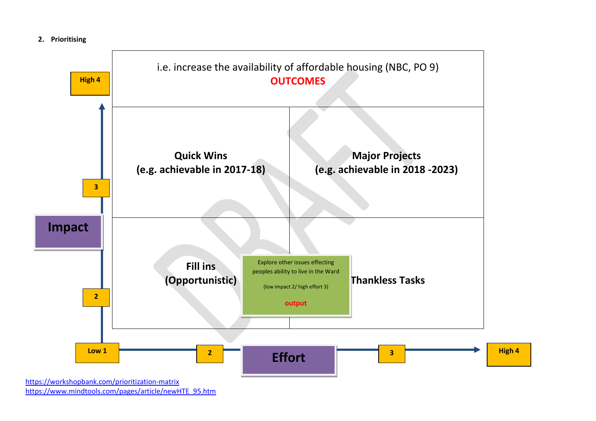



https://www.mindtools.com/pages/article/newHTE\_95.htm